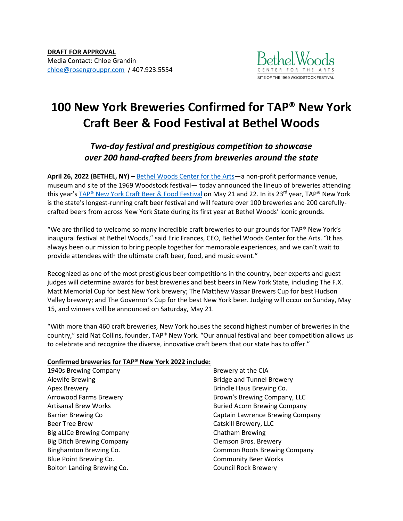

# **100 New York Breweries Confirmed for TAP® New York Craft Beer & Food Festival at Bethel Woods**

## *Two-day festival and prestigious competition to showcase over 200 hand-crafted beers from breweries around the state*

**April 26, 2022 (BETHEL, NY) –** [Bethel Woods Center for the Arts](https://www.bethelwoodscenter.org/)—a non-profit performance venue, museum and site of the 1969 Woodstock festival— today announced the lineup of breweries attending this year's [TAP® New York Craft Beer & Food Festival](https://www.bethelwoodscenter.org/events/tap-new-york-craft-beer-food-festival) on May 21 and 22. In its 23<sup>rd</sup> year, TAP® New York is the state's longest-running craft beer festival and will feature over 100 breweries and 200 carefullycrafted beers from across New York State during its first year at Bethel Woods' iconic grounds.

"We are thrilled to welcome so many incredible craft breweries to our grounds for TAP® New York's inaugural festival at Bethel Woods," said Eric Frances, CEO, Bethel Woods Center for the Arts. "It has always been our mission to bring people together for memorable experiences, and we can't wait to provide attendees with the ultimate craft beer, food, and music event."

Recognized as one of the most prestigious beer competitions in the country, beer experts and guest judges will determine awards for best breweries and best beers in New York State, including The F.X. Matt Memorial Cup for best New York brewery; The Matthew Vassar Brewers Cup for best Hudson Valley brewery; and The Governor's Cup for the best New York beer. Judging will occur on Sunday, May 15, and winners will be announced on Saturday, May 21.

"With more than 460 craft breweries, New York houses the second highest number of breweries in the country," said Nat Collins, founder, TAP® New York. "Our annual festival and beer competition allows us to celebrate and recognize the diverse, innovative craft beers that our state has to offer."

### **Confirmed breweries for TAP® New York 2022 include:**

1940s Brewing Company Alewife Brewing Apex Brewery Arrowood Farms Brewery Artisanal Brew Works Barrier Brewing Co Beer Tree Brew Big aLICe Brewing Company Big Ditch Brewing Company Binghamton Brewing Co. Blue Point Brewing Co. Bolton Landing Brewing Co.

Brewery at the CIA Bridge and Tunnel Brewery Brindle Haus Brewing Co. Brown's Brewing Company, LLC Buried Acorn Brewing Company Captain Lawrence Brewing Company Catskill Brewery, LLC Chatham Brewing Clemson Bros. Brewery Common Roots Brewing Company Community Beer Works Council Rock Brewery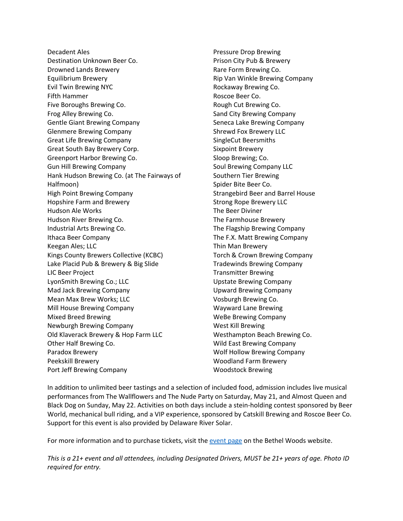Decadent Ales Destination Unknown Beer Co. Drowned Lands Brewery Equilibrium Brewery Evil Twin Brewing NYC Fifth Hammer Five Boroughs Brewing Co. Frog Alley Brewing Co. Gentle Giant Brewing Company Glenmere Brewing Company Great Life Brewing Company Great South Bay Brewery Corp. Greenport Harbor Brewing Co. Gun Hill Brewing Company Hank Hudson Brewing Co. (at The Fairways of Halfmoon) High Point Brewing Company Hopshire Farm and Brewery Hudson Ale Works Hudson River Brewing Co. Industrial Arts Brewing Co. Ithaca Beer Company Keegan Ales; LLC Kings County Brewers Collective (KCBC) Lake Placid Pub & Brewery & Big Slide LIC Beer Project LyonSmith Brewing Co.; LLC Mad Jack Brewing Company Mean Max Brew Works; LLC Mill House Brewing Company Mixed Breed Brewing Newburgh Brewing Company Old Klaverack Brewery & Hop Farm LLC Other Half Brewing Co. Paradox Brewery Peekskill Brewery Port Jeff Brewing Company

Pressure Drop Brewing Prison City Pub & Brewery Rare Form Brewing Co. Rip Van Winkle Brewing Company Rockaway Brewing Co. Roscoe Beer Co. Rough Cut Brewing Co. Sand City Brewing Company Seneca Lake Brewing Company Shrewd Fox Brewery LLC SingleCut Beersmiths Sixpoint Brewery Sloop Brewing; Co. Soul Brewing Company LLC Southern Tier Brewing Spider Bite Beer Co. Strangebird Beer and Barrel House Strong Rope Brewery LLC The Beer Diviner The Farmhouse Brewery The Flagship Brewing Company The F.X. Matt Brewing Company Thin Man Brewery Torch & Crown Brewing Company Tradewinds Brewing Company Transmitter Brewing Upstate Brewing Company Upward Brewing Company Vosburgh Brewing Co. Wayward Lane Brewing WeBe Brewing Company West Kill Brewing Westhampton Beach Brewing Co. Wild East Brewing Company Wolf Hollow Brewing Company Woodland Farm Brewery Woodstock Brewing

In addition to unlimited beer tastings and a selection of included food, admission includes live musical performances from The Wallflowers and The Nude Party on Saturday, May 21, and Almost Queen and Black Dog on Sunday, May 22. Activities on both days include a stein-holding contest sponsored by Beer World, mechanical bull riding, and a VIP experience, sponsored by Catskill Brewing and Roscoe Beer Co. Support for this event is also provided by Delaware River Solar.

For more information and to purchase tickets, visit the [event page](https://www.bethelwoodscenter.org/events/tap-new-york-craft-beer-food-festival) on the Bethel Woods website.

*This is a 21+ event and all attendees, including Designated Drivers, MUST be 21+ years of age. Photo ID required for entry.*